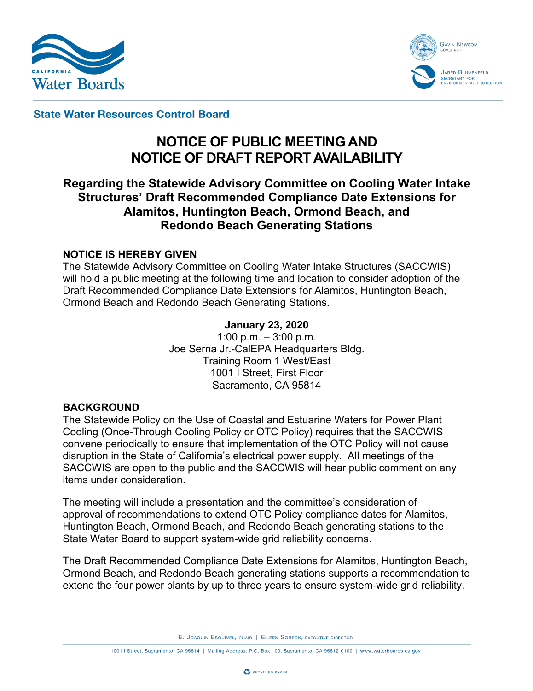



**State Water Resources Control Board** 

# **NOTICE OF PUBLIC MEETING AND NOTICE OF DRAFT REPORT AVAILABILITY**

## **Regarding the Statewide Advisory Committee on Cooling Water Intake Structures' Draft Recommended Compliance Date Extensions for Alamitos, Huntington Beach, Ormond Beach, and Redondo Beach Generating Stations**

#### **NOTICE IS HEREBY GIVEN**

The Statewide Advisory Committee on Cooling Water Intake Structures (SACCWIS) will hold a public meeting at the following time and location to consider adoption of the Draft Recommended Compliance Date Extensions for Alamitos, Huntington Beach, Ormond Beach and Redondo Beach Generating Stations.

#### **January 23, 2020**

1:00 p.m.  $-3:00$  p.m. Joe Serna Jr.-CalEPA Headquarters Bldg. Training Room 1 West/East 1001 I Street, First Floor Sacramento, CA 95814

#### **BACKGROUND**

The Statewide Policy on the Use of Coastal and Estuarine Waters for Power Plant Cooling (Once-Through Cooling Policy or OTC Policy) requires that the SACCWIS convene periodically to ensure that implementation of the OTC Policy will not cause disruption in the State of California's electrical power supply. All meetings of the SACCWIS are open to the public and the SACCWIS will hear public comment on any items under consideration.

The meeting will include a presentation and the committee's consideration of approval of recommendations to extend OTC Policy compliance dates for Alamitos, Huntington Beach, Ormond Beach, and Redondo Beach generating stations to the State Water Board to support system-wide grid reliability concerns.

The Draft Recommended Compliance Date Extensions for Alamitos, Huntington Beach, Ormond Beach, and Redondo Beach generating stations supports a recommendation to extend the four power plants by up to three years to ensure system-wide grid reliability.

E. JOAQUIN ESQUIVEL, CHAIR | EILEEN SOBECK, EXECUTIVE DIRECTOR